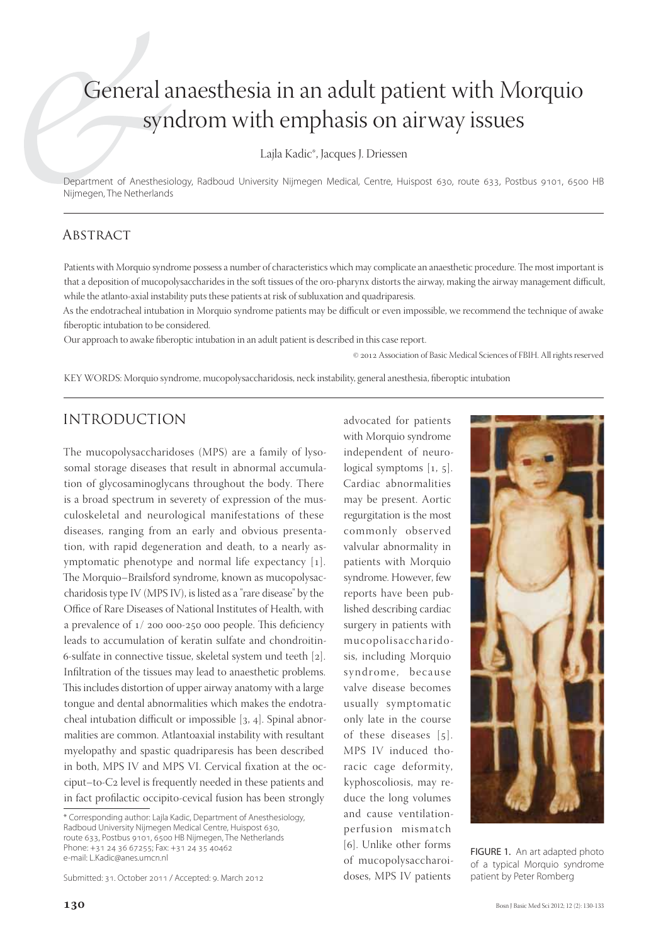# General anaesthesia in an adult patient with Morquio syndrom with emphasis on airway issues

Lajla Kadic\*, Jacques J. Driessen

Department of Anesthesiology, Radboud University Nijmegen Medical, Centre, Huispost 630, route 633, Postbus 9101, 6500 HB Nijmegen, The Netherlands

## **ABSTRACT**

Patients with Morquio syndrome possess a number of characteristics which may complicate an anaesthetic procedure. The most important is that a deposition of mucopolysaccharides in the soft tissues of the oro-pharynx distorts the airway, making the airway management difficult, while the atlanto-axial instability puts these patients at risk of subluxation and quadriparesis.

As the endotracheal intubation in Morquio syndrome patients may be difficult or even impossible, we recommend the technique of awake fiberoptic intubation to be considered.

Our approach to awake fiberoptic intubation in an adult patient is described in this case report.

© 2012 Association of Basic Medical Sciences of FBIH. All rights reserved

KEY WORDS: Morquio syndrome, mucopolysaccharidosis, neck instability, general anesthesia, fiberoptic intubation

# INTRODUCTION

The mucopolysaccharidoses (MPS) are a family of lysosomal storage diseases that result in abnormal accumulation of glycosaminoglycans throughout the body. There is a broad spectrum in severety of expression of the musculoskeletal and neurological manifestations of these diseases, ranging from an early and obvious presentation, with rapid degeneration and death, to a nearly asymptomatic phenotype and normal life expectancy  $[1]$ . The Morquio–Brailsford syndrome, known as mucopolysaccharidosis type IV (MPS IV), is listed as a "rare disease" by the Office of Rare Diseases of National Institutes of Health, with a prevalence of  $1/200000-250000$  people. This deficiency leads to accumulation of keratin sulfate and chondroitin- 6-sulfate in connective tissue, skeletal system und teeth  $[2]$ . Infiltration of the tissues may lead to anaesthetic problems. This includes distortion of upper airway anatomy with a large tongue and dental abnormalities which makes the endotracheal intubation difficult or impossible  $[3, 4]$ . Spinal abnormalities are common. Atlantoaxial instability with resultant myelopathy and spastic quadriparesis has been described in both, MPS IV and MPS VI. Cervical fixation at the occiput–to-C<sub>2</sub> level is frequently needed in these patients and in fact profilactic occipito-cevical fusion has been strongly

Submitted: 31. October 2011 / Accepted: 9. March 2012

with Morquio syndrome independent of neurological symptoms  $[1, 5]$ . Cardiac abnormalities may be present. Aortic regurgitation is the most commonly observed valvular abnormality in patients with Morquio syndrome. However, few reports have been published describing cardiac surgery in patients with mucopolisaccharidosis, including Morquio syndrome, because valve disease becomes usually symptomatic only late in the course of these diseases  $[5]$ . MPS IV induced thoracic cage deformity, kyphoscoliosis, may reduce the long volumes and cause ventilationperfusion mismatch [6]. Unlike other forms of mucopolysaccharoidoses, MPS IV patients

advocated for patients



FIGURE 1. An art adapted photo of a typical Morquio syndrome patient by Peter Romberg

<sup>\*</sup> Corresponding author: Lajla Kadic, Department of Anesthesiology, Radboud University Nijmegen Medical Centre, Huispost 630, route 633, Postbus 9101, 6500 HB Nijmegen, The Netherlands Phone: +31 24 36 67255; Fax: +31 24 35 40462 e-mail: L.Kadic@anes.umcn.nl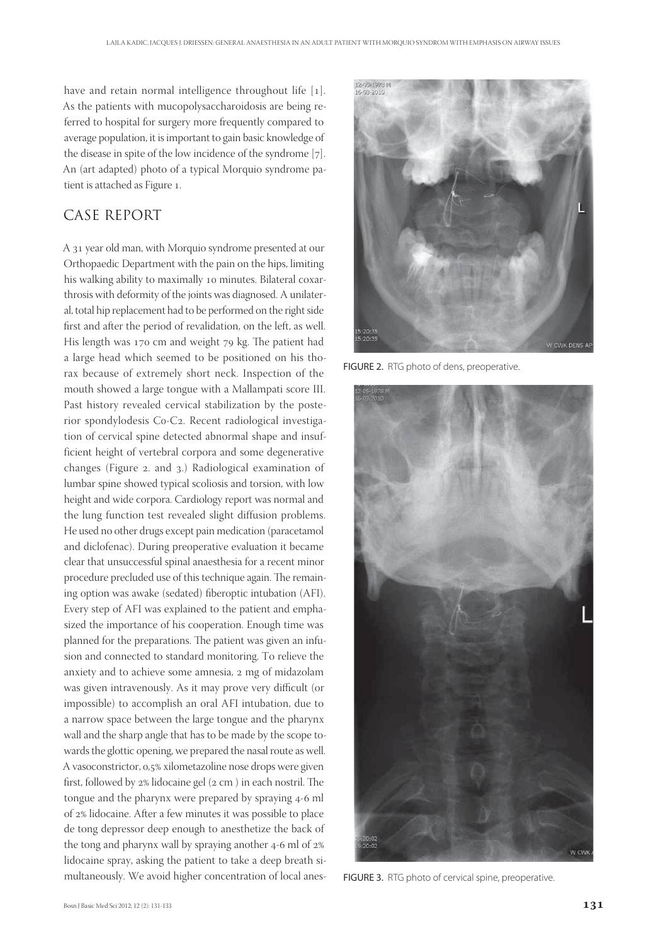have and retain normal intelligence throughout life  $[1]$ . As the patients with mucopolysaccharoidosis are being referred to hospital for surgery more frequently compared to average population, it is important to gain basic knowledge of the disease in spite of the low incidence of the syndrome  $[7]$ . An (art adapted) photo of a typical Morquio syndrome patient is attached as Figure 1.

# CASE REPORT

A 31 year old man, with Morquio syndrome presented at our Orthopaedic Department with the pain on the hips, limiting his walking ability to maximally 10 minutes. Bilateral coxarthrosis with deformity of the joints was diagnosed. A unilateral, total hip replacement had to be performed on the right side first and after the period of revalidation, on the left, as well. His length was 170 cm and weight 79 kg. The patient had a large head which seemed to be positioned on his thorax because of extremely short neck. Inspection of the mouth showed a large tongue with a Mallampati score III. Past history revealed cervical stabilization by the posterior spondylodesis Co-C2. Recent radiological investigation of cervical spine detected abnormal shape and insufficient height of vertebral corpora and some degenerative changes (Figure 2. and 3.) Radiological examination of lumbar spine showed typical scoliosis and torsion, with low height and wide corpora. Cardiology report was normal and the lung function test revealed slight diffusion problems. He used no other drugs except pain medication (paracetamol and diclofenac). During preoperative evaluation it became clear that unsuccessful spinal anaesthesia for a recent minor procedure precluded use of this technique again. The remaining option was awake (sedated) fiberoptic intubation (AFI). Every step of AFI was explained to the patient and emphasized the importance of his cooperation. Enough time was planned for the preparations. The patient was given an infusion and connected to standard monitoring. To relieve the anxiety and to achieve some amnesia, 2 mg of midazolam was given intravenously. As it may prove very difficult (or impossible) to accomplish an oral AFI intubation, due to a narrow space between the large tongue and the pharynx wall and the sharp angle that has to be made by the scope towards the glottic opening, we prepared the nasal route as well. A vasoconstrictor, 0,5% xilometazoline nose drops were given first, followed by  $2\%$  lidocaine gel  $(2 \text{ cm})$  in each nostril. The tongue and the pharynx were prepared by spraying 4-6 ml of 2% lidocaine. After a few minutes it was possible to place de tong depressor deep enough to anesthetize the back of the tong and pharynx wall by spraying another  $4-6$  ml of  $2\%$ lidocaine spray, asking the patient to take a deep breath simultaneously. We avoid higher concentration of local anes-



FIGURE 2. RTG photo of dens, preoperative.



FIGURE 3. RTG photo of cervical spine, preoperative.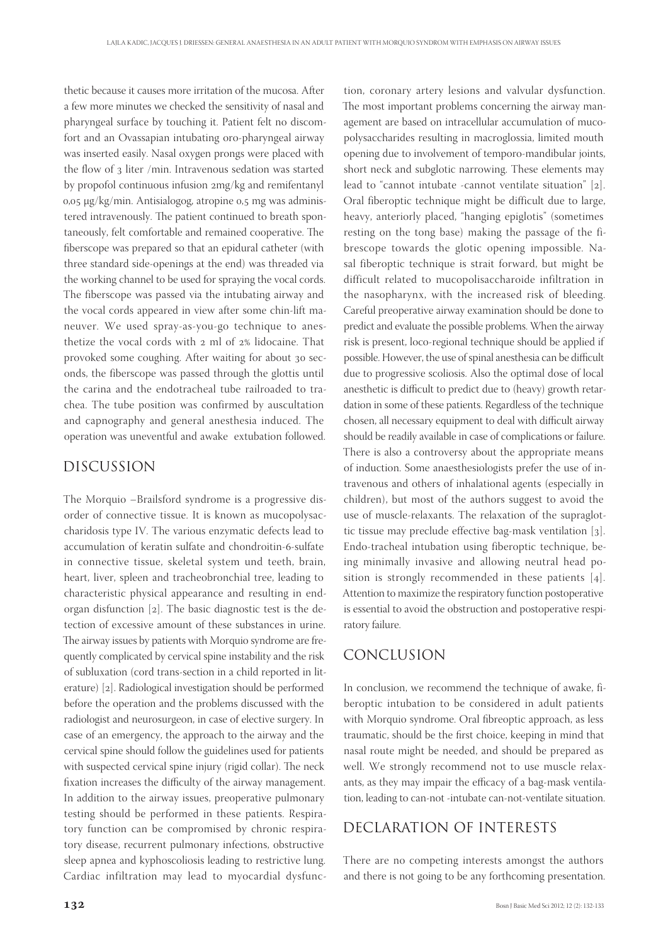thetic because it causes more irritation of the mucosa. After a few more minutes we checked the sensitivity of nasal and pharyngeal surface by touching it. Patient felt no discomfort and an Ovassapian intubating oro-pharyngeal airway was inserted easily. Nasal oxygen prongs were placed with the flow of  $_3$  liter /min. Intravenous sedation was started by propofol continuous infusion 2mg/kg and remifentanyl  $0.05 \mu g/kg/min$ . Antisialogog, atropine  $0.5 \mu g/kg$  administered intravenously. The patient continued to breath spontaneously, felt comfortable and remained cooperative. The fiberscope was prepared so that an epidural catheter (with three standard side-openings at the end) was threaded via the working channel to be used for spraying the vocal cords. The fiberscope was passed via the intubating airway and the vocal cords appeared in view after some chin-lift maneuver. We used spray-as-you-go technique to anesthetize the vocal cords with  $2$  ml of  $2\%$  lidocaine. That provoked some coughing. After waiting for about 30 seconds, the fiberscope was passed through the glottis until the carina and the endotracheal tube railroaded to trachea. The tube position was confirmed by auscultation and capnography and general anesthesia induced. The operation was uneventful and awake extubation followed.

#### DISCUSSION

The Morquio –Brailsford syndrome is a progressive disorder of connective tissue. It is known as mucopolysaccharidosis type IV. The various enzymatic defects lead to accumulation of keratin sulfate and chondroitin-6-sulfate in connective tissue, skeletal system und teeth, brain, heart, liver, spleen and tracheobronchial tree, leading to characteristic physical appearance and resulting in endorgan disfunction  $[2]$ . The basic diagnostic test is the detection of excessive amount of these substances in urine. The airway issues by patients with Morquio syndrome are frequently complicated by cervical spine instability and the risk of subluxation (cord trans-section in a child reported in literature) [2]. Radiological investigation should be performed before the operation and the problems discussed with the radiologist and neurosurgeon, in case of elective surgery. In case of an emergency, the approach to the airway and the cervical spine should follow the guidelines used for patients with suspected cervical spine injury (rigid collar). The neck fixation increases the difficulty of the airway management. In addition to the airway issues, preoperative pulmonary testing should be performed in these patients. Respiratory function can be compromised by chronic respiratory disease, recurrent pulmonary infections, obstructive sleep apnea and kyphoscoliosis leading to restrictive lung. Cardiac infiltration may lead to myocardial dysfunc-

tion, coronary artery lesions and valvular dysfunction. The most important problems concerning the airway management are based on intracellular accumulation of mucopolysaccharides resulting in macroglossia, limited mouth opening due to involvement of temporo-mandibular joints, short neck and subglotic narrowing. These elements may lead to "cannot intubate -cannot ventilate situation" [2]. Oral fiberoptic technique might be difficult due to large, heavy, anteriorly placed, "hanging epiglotis" (sometimes resting on the tong base) making the passage of the fibrescope towards the glotic opening impossible. Nasal fiberoptic technique is strait forward, but might be difficult related to mucopolisaccharoide infiltration in the nasopharynx, with the increased risk of bleeding. Careful preoperative airway examination should be done to predict and evaluate the possible problems. When the airway risk is present, loco-regional technique should be applied if possible. However, the use of spinal anesthesia can be difficult due to progressive scoliosis. Also the optimal dose of local anesthetic is difficult to predict due to (heavy) growth retardation in some of these patients. Regardless of the technique chosen, all necessary equipment to deal with difficult airway should be readily available in case of complications or failure. There is also a controversy about the appropriate means of induction. Some anaesthesiologists prefer the use of intravenous and others of inhalational agents (especially in children), but most of the authors suggest to avoid the use of muscle-relaxants. The relaxation of the supraglottic tissue may preclude effective bag-mask ventilation  $[3]$ . Endo-tracheal intubation using fiberoptic technique, being minimally invasive and allowing neutral head position is strongly recommended in these patients  $[4]$ . Attention to maximize the respiratory function postoperative is essential to avoid the obstruction and postoperative respiratory failure.

## CONCLUSION

In conclusion, we recommend the technique of awake, fiberoptic intubation to be considered in adult patients with Morquio syndrome. Oral fibreoptic approach, as less traumatic, should be the first choice, keeping in mind that nasal route might be needed, and should be prepared as well. We strongly recommend not to use muscle relaxants, as they may impair the efficacy of a bag-mask ventilation, leading to can-not -intubate can-not-ventilate situation.

## DECLARATION OF INTERESTS

There are no competing interests amongst the authors and there is not going to be any forthcoming presentation.